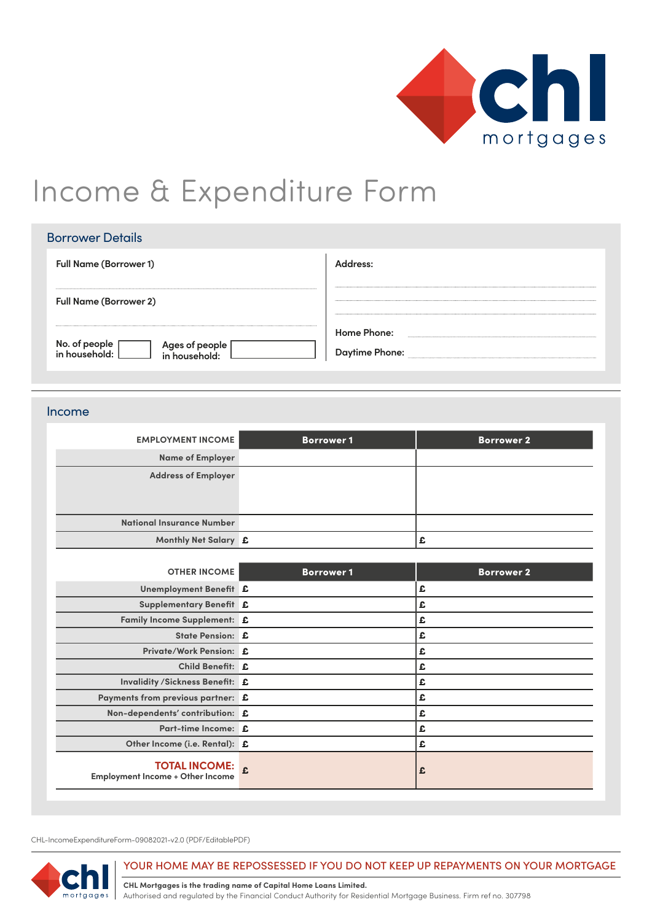

# Income & Expenditure Form

| <b>Borrower Details</b>         |                                      |
|---------------------------------|--------------------------------------|
| <b>Full Name (Borrower 1)</b>   | Address:                             |
| <b>Full Name (Borrower 2)</b>   |                                      |
| No. of people<br>Ages of people | Home Phone:<br><b>Daytime Phone:</b> |

## Income

| <b>EMPLOYMENT INCOME</b>   | <b>Borrower 1</b> | <b>Borrower 2</b> |
|----------------------------|-------------------|-------------------|
| <b>Name of Employer</b>    |                   |                   |
| <b>Address of Employer</b> |                   |                   |
|                            |                   |                   |
|                            |                   |                   |
| National Insurance Number  |                   |                   |
| Monthly Net Salary £       |                   | ÷.                |

| <b>OTHER INCOME</b>                                             | <b>Borrower1</b> | <b>Borrower 2</b> |
|-----------------------------------------------------------------|------------------|-------------------|
| Unemployment Benefit £                                          |                  | £                 |
| Supplementary Benefit £                                         |                  | £                 |
| Family Income Supplement: £                                     |                  | £                 |
| State Pension: £                                                |                  | £                 |
| Private/Work Pension: £                                         |                  | £                 |
| Child Benefit: £                                                |                  | £                 |
| <b>Invalidity /Sickness Benefit: £</b>                          |                  | £                 |
| Payments from previous partner: £                               |                  | £                 |
| Non-dependents' contribution: £                                 |                  | £                 |
| Part-time Income: £                                             |                  | £                 |
| Other Income (i.e. Rental): £                                   |                  | £                 |
| <b>TOTAL INCOME:</b><br><b>Employment Income + Other Income</b> |                  | £                 |

CHL-IncomeExpenditureForm-09082021-v2.0 (PDF/EditablePDF)



### YOUR HOME MAY BE REPOSSESSED IF YOU DO NOT KEEP UP REPAYMENTS ON YOUR MORTGAGE

**CHL Mortgages is the trading name of Capital Home Loans Limited.** Authorised and regulated by the Financial Conduct Authority for Residential Mortgage Business. Firm ref no. 307798